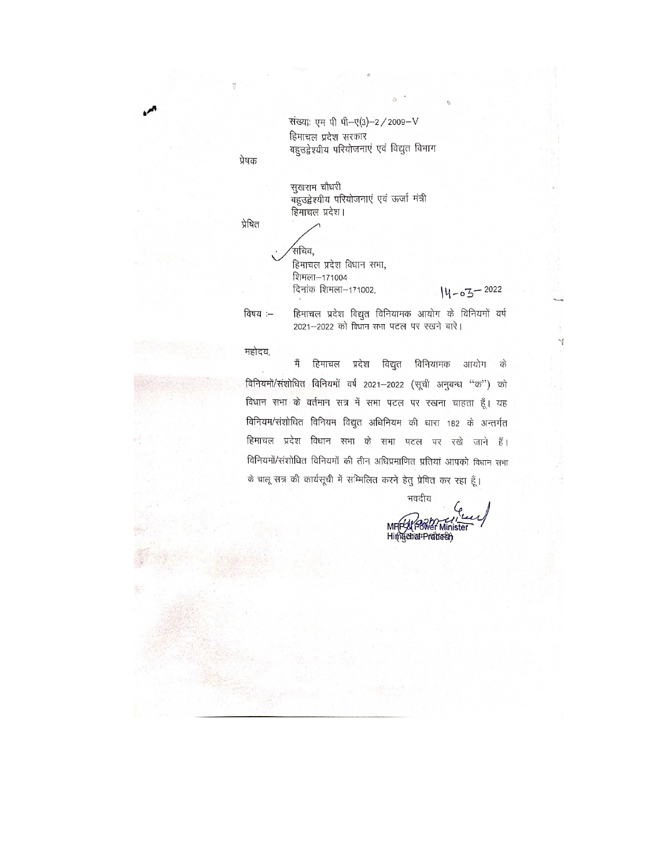संख्या: एम पी पी-ए(3)-2 / 2009-V हिमाचल प्रदेश सरकार बहुउद्वेश्यीय परियोजनाएं एवं विद्युत विभाग

प्रेषक

सुखराम चौधरी -<br>बहुउद्वेश्यीय परियोजनाएं एवं ऊर्जा मंत्री हिमाचल प्रदेश।

प्रेषित

,<br>सचिव, हिमाचल प्रदेश विधान सभा, शिमला-171004 दिनांक शिमला-171002,

14-03-2022

Ч

विषय :-

महोदय,

मैं हिमाचल प्रदेश विद्युत विनियामक आयोग के विनियमों/संशोधित विनियमों वर्ष 2021-2022 (सूची अनुबन्ध "क") को विधान सभा के वर्तमान सत्र में सभा पटल पर रखना चाहता हूँ। यह विनियम/संशोधित विनियम विद्युत अधिनियम की धारा 182 के अन्तर्गत हिमाचल प्रदेश विधान सभा के सभा पटल पर रखे जाने हैं। विनियमों/संशोधित विनियमों की तीन अधिप्रमाणित प्रतियां आपको विधान सभा के चालू सत्र की कार्यसूची में सम्मिलित करने हेतु प्रेषित कर रहा हूँ।

2021-2022 को विधान सभा पटल पर रखने बारे।

हिमाचल प्रदेश विद्युत विनियामक आयोग के विनियमों वर्ष

भवदीय MF y Power Minister Himgehal Pradect)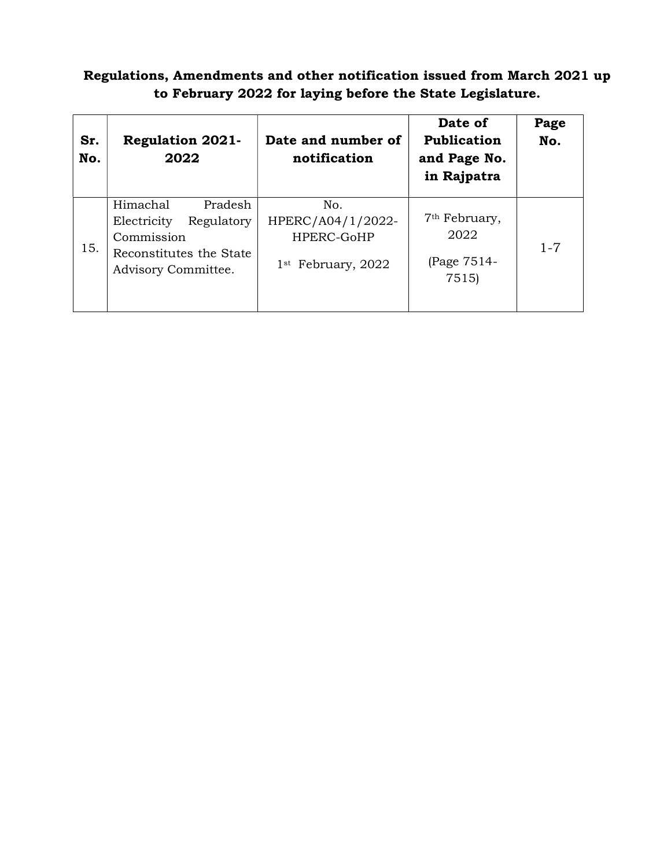## Regulations, Amendments and other notification issued from March 2021 up to February 2022 for laying before the State Legislature.

| Sr.<br>No. | <b>Regulation 2021-</b><br>2022                                                                                  | Date and number of<br>notification                             | Date of<br><b>Publication</b><br>and Page No.<br>in Rajpatra | Page<br>No. |
|------------|------------------------------------------------------------------------------------------------------------------|----------------------------------------------------------------|--------------------------------------------------------------|-------------|
| 15.        | Pradesh<br>Himachal<br>Electricity<br>Regulatory<br>Commission<br>Reconstitutes the State<br>Advisory Committee. | No.<br>HPERC/A04/1/2022-<br>HPERC-GoHP<br>$1st$ February, 2022 | 7 <sup>th</sup> February,<br>2022<br>(Page 7514-<br>7515)    | $1 - 7$     |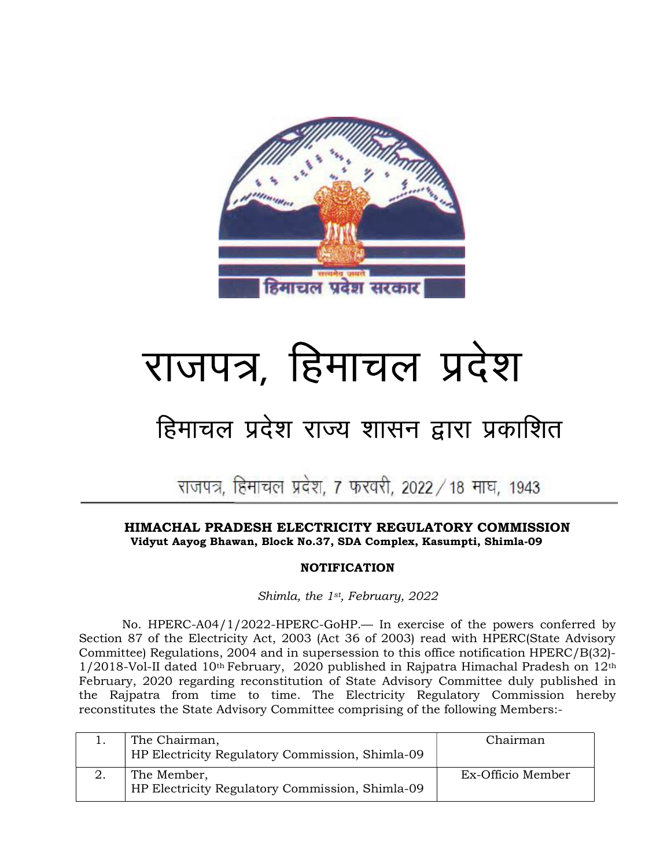

# राजपत्र, हिमाचल प्रदेश

## हिमाचल प्रदेश राज्य शासन द्वारा प्रकाशित

## राजपत्र, हिमाचल प्रदेश, 7 फरवरी, 2022 / 18 माघ, 1943

Ļ,

#### HIMACHAL PRADESH ELECTRICITY REGULATORY COMMISSION Vidyut Aayog Bhawan, Block No.37, SDA Complex, Kasumpti, Shimla-09

### NOTIFICATION

Shimla, the 1st, February, 2022

 No. HPERC-A04/1/2022-HPERC-GoHP.— In exercise of the powers conferred by Section 87 of the Electricity Act, 2003 (Act 36 of 2003) read with HPERC(State Advisory Committee) Regulations, 2004 and in supersession to this office notification HPERC/B(32)-  $1/2018$ -Vol-II dated 10<sup>th</sup> February, 2020 published in Rajpatra Himachal Pradesh on  $12<sup>th</sup>$ February, 2020 regarding reconstitution of State Advisory Committee duly published in the Rajpatra from time to time. The Electricity Regulatory Commission hereby reconstitutes the State Advisory Committee comprising of the following Members:-

| The Chairman,<br>HP Electricity Regulatory Commission, Shimla-09 | Chairman          |
|------------------------------------------------------------------|-------------------|
| The Member,<br>HP Electricity Regulatory Commission, Shimla-09   | Ex-Officio Member |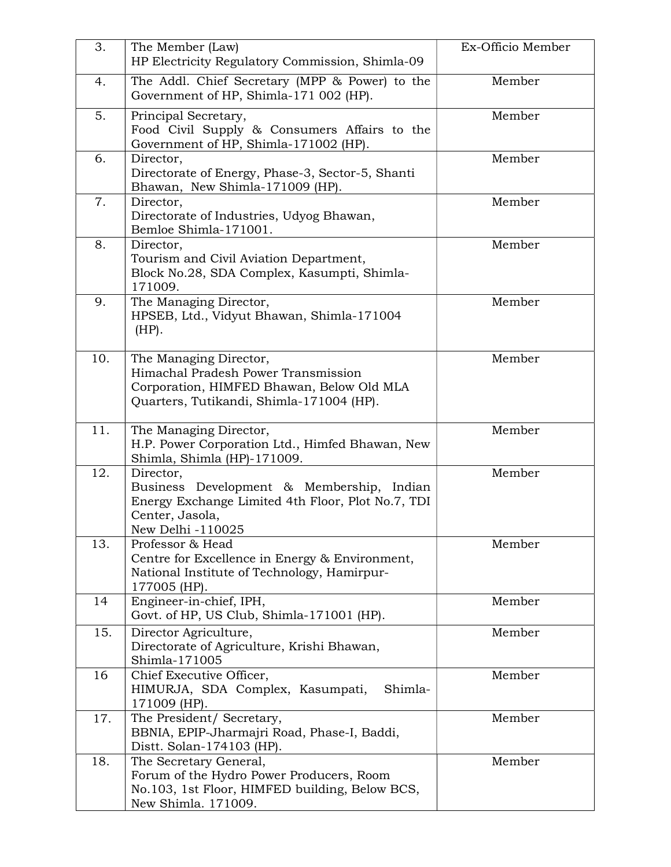| 3.  | The Member (Law)                                                                                                                                       | Ex-Officio Member |
|-----|--------------------------------------------------------------------------------------------------------------------------------------------------------|-------------------|
|     | HP Electricity Regulatory Commission, Shimla-09                                                                                                        |                   |
| 4.  | The Addl. Chief Secretary (MPP & Power) to the<br>Government of HP, Shimla-171 002 (HP).                                                               | Member            |
| 5.  | Principal Secretary,<br>Food Civil Supply & Consumers Affairs to the<br>Government of HP, Shimla-171002 (HP).                                          | Member            |
| 6.  | Director,<br>Directorate of Energy, Phase-3, Sector-5, Shanti<br>Bhawan, New Shimla-171009 (HP).                                                       | Member            |
| 7.  | Director,<br>Directorate of Industries, Udyog Bhawan,<br>Bemloe Shimla-171001.                                                                         | Member            |
| 8.  | Director,<br>Tourism and Civil Aviation Department,<br>Block No.28, SDA Complex, Kasumpti, Shimla-<br>171009.                                          | Member            |
| 9.  | The Managing Director,<br>HPSEB, Ltd., Vidyut Bhawan, Shimla-171004<br>$(HP)$ .                                                                        | Member            |
| 10. | The Managing Director,<br>Himachal Pradesh Power Transmission<br>Corporation, HIMFED Bhawan, Below Old MLA<br>Quarters, Tutikandi, Shimla-171004 (HP). | Member            |
| 11. | The Managing Director,<br>H.P. Power Corporation Ltd., Himfed Bhawan, New<br>Shimla, Shimla (HP)-171009.                                               | Member            |
| 12. | Director,<br>Business Development & Membership, Indian<br>Energy Exchange Limited 4th Floor, Plot No.7, TDI<br>Center, Jasola,<br>New Delhi -110025    | Member            |
| 13. | Professor & Head<br>Centre for Excellence in Energy & Environment,<br>National Institute of Technology, Hamirpur-<br>177005 (HP).                      | Member            |
| 14  | Engineer-in-chief, IPH,<br>Govt. of HP, US Club, Shimla-171001 (HP).                                                                                   | Member            |
| 15. | Director Agriculture,<br>Directorate of Agriculture, Krishi Bhawan,<br>Shimla-171005                                                                   | Member            |
| 16  | Chief Executive Officer,<br>HIMURJA, SDA Complex, Kasumpati,<br>Shimla-<br>171009 (HP).                                                                | Member            |
| 17. | The President/ Secretary,<br>BBNIA, EPIP-Jharmajri Road, Phase-I, Baddi,<br>Distt. Solan-174103 (HP).                                                  | Member            |
| 18. | The Secretary General,<br>Forum of the Hydro Power Producers, Room<br>No.103, 1st Floor, HIMFED building, Below BCS,<br>New Shimla. 171009.            | Member            |